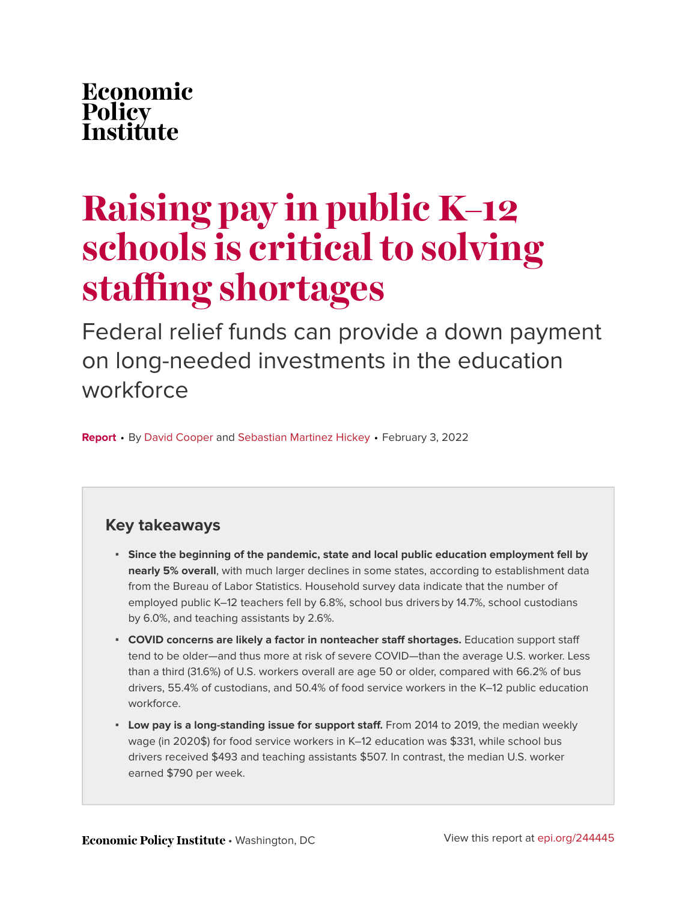# <span id="page-0-0"></span>Economic Policy<br>Institute

# **Raising pay in public K–12 schools is critical to solving staffing shortages**

Federal relief funds can provide a down payment on long-needed investments in the education workforce

**Report** • By [David Cooper](https://www.epi.org/people/david-cooper/) and [Sebastian Martinez Hickey](https://www.epi.org/people/sebastian-hickey/) • February 3, 2022

### **Key takeaways**

- **Since the beginning of the pandemic, state and local public education employment fell by nearly 5% overall**, with much larger declines in some states, according to establishment data from the Bureau of Labor Statistics. Household survey data indicate that the number of employed public K–12 teachers fell by 6.8%, school bus driversby 14.7%, school custodians by 6.0%, and teaching assistants by 2.6%.
- **COVID concerns are likely a factor in nonteacher staff shortages.** Education support staff tend to be older—and thus more at risk of severe COVID—than the average U.S. worker. Less than a third (31.6%) of U.S. workers overall are age 50 or older, compared with 66.2% of bus drivers, 55.4% of custodians, and 50.4% of food service workers in the K–12 public education workforce.
- **Low pay is a long-standing issue for support staff.** From 2014 to 2019, the median weekly wage (in 2020\$) for food service workers in K–12 education was \$331, while school bus drivers received \$493 and teaching assistants \$507. In contrast, the median U.S. worker earned \$790 per week.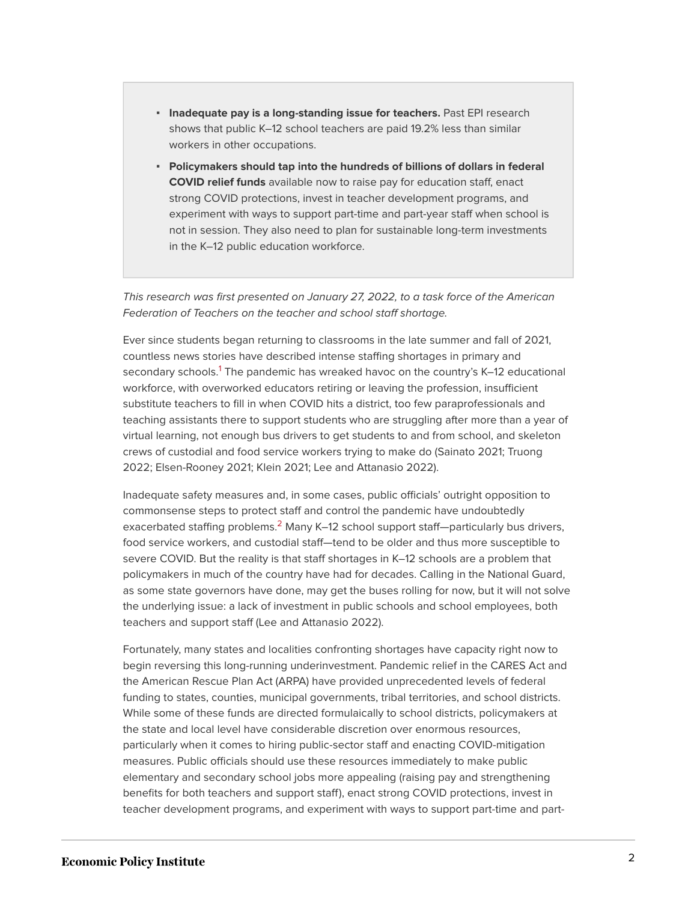- **· Inadequate pay is a long-standing issue for teachers.** Past EPI research shows that public K–12 school teachers are paid 19.2% less than similar workers in other occupations.
- **Policymakers should tap into the hundreds of billions of dollars in federal COVID relief funds** available now to raise pay for education staff, enact strong COVID protections, invest in teacher development programs, and experiment with ways to support part-time and part-year staff when school is not in session. They also need to plan for sustainable long-term investments in the K–12 public education workforce.

This research was first presented on January 27, 2022, to a task force of the American Federation of Teachers on the teacher and school staff shortage.

<span id="page-1-0"></span>Ever since students began returning to classrooms in the late summer and fall of 2021, countless news stories have described intense staffing shortages in primary and secondary schools.<sup>[1](#page-12-0)</sup> The pandemic has wreaked havoc on the country's K–12 educational workforce, with overworked educators retiring or leaving the profession, insufficient substitute teachers to fill in when COVID hits a district, too few paraprofessionals and teaching assistants there to support students who are struggling after more than a year of virtual learning, not enough bus drivers to get students to and from school, and skeleton crews of custodial and food service workers trying to make do (Sainato 2021; Truong 2022; Elsen-Rooney 2021; Klein 2021; Lee and Attanasio 2022).

<span id="page-1-1"></span>Inadequate safety measures and, in some cases, public officials' outright opposition to commonsense steps to protect staff and control the pandemic have undoubtedly exacerbated staffing problems.<sup>[2](#page-12-1)</sup> Many K–12 school support staff—particularly bus drivers, food service workers, and custodial staff—tend to be older and thus more susceptible to severe COVID. But the reality is that staff shortages in K–12 schools are a problem that policymakers in much of the country have had for decades. Calling in the National Guard, as some state governors have done, may get the buses rolling for now, but it will not solve the underlying issue: a lack of investment in public schools and school employees, both teachers and support staff (Lee and Attanasio 2022).

Fortunately, many states and localities confronting shortages have capacity right now to begin reversing this long-running underinvestment. Pandemic relief in the CARES Act and the American Rescue Plan Act (ARPA) have provided unprecedented levels of federal funding to states, counties, municipal governments, tribal territories, and school districts. While some of these funds are directed formulaically to school districts, policymakers at the state and local level have considerable discretion over enormous resources, particularly when it comes to hiring public-sector staff and enacting COVID-mitigation measures. Public officials should use these resources immediately to make public elementary and secondary school jobs more appealing (raising pay and strengthening benefits for both teachers and support staff), enact strong COVID protections, invest in teacher development programs, and experiment with ways to support part-time and part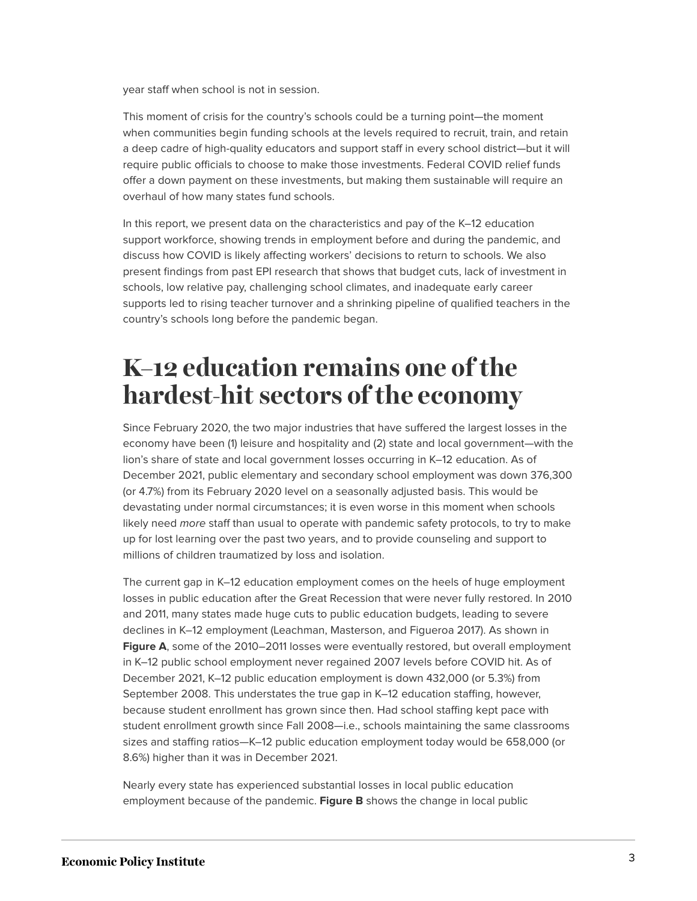year staff when school is not in session.

This moment of crisis for the country's schools could be a turning point—the moment when communities begin funding schools at the levels required to recruit, train, and retain a deep cadre of high-quality educators and support staff in every school district—but it will require public officials to choose to make those investments. Federal COVID relief funds offer a down payment on these investments, but making them sustainable will require an overhaul of how many states fund schools.

In this report, we present data on the characteristics and pay of the K–12 education support workforce, showing trends in employment before and during the pandemic, and discuss how COVID is likely affecting workers' decisions to return to schools. We also present findings from past EPI research that shows that budget cuts, lack of investment in schools, low relative pay, challenging school climates, and inadequate early career supports led to rising teacher turnover and a shrinking pipeline of qualified teachers in the country's schools long before the pandemic began.

# **K–12 education remains one of the hardest-hit sectors of the economy**

Since February 2020, the two major industries that have suffered the largest losses in the economy have been (1) leisure and hospitality and (2) state and local government—with the lion's share of state and local government losses occurring in K–12 education. As of December 2021, public elementary and secondary school employment was down 376,300 (or 4.7%) from its February 2020 level on a seasonally adjusted basis. This would be devastating under normal circumstances; it is even worse in this moment when schools likely need more staff than usual to operate with pandemic safety protocols, to try to make up for lost learning over the past two years, and to provide counseling and support to millions of children traumatized by loss and isolation.

The current gap in K–12 education employment comes on the heels of huge employment losses in public education after the Great Recession that were never fully restored. In 2010 and 2011, many states made huge cuts to public education budgets, leading to severe declines in K–12 employment (Leachman, Masterson, and Figueroa 2017). As shown in Figure A, some of the 2010–2011 losses were eventually restored, but overall employment in K–12 public school employment never regained 2007 levels before COVID hit. As of December 2021, K–12 public education employment is down 432,000 (or 5.3%) from September 2008. This understates the true gap in K–12 education staffing, however, because student enrollment has grown since then. Had school staffing kept pace with student enrollment growth since Fall 2008—i.e., schools maintaining the same classrooms sizes and staffing ratios—K–12 public education employment today would be 658,000 (or 8.6%) higher than it was in December 2021.

Nearly every state has experienced substantial losses in local public education employment because of the pandemic. **Figure B** shows the change in local public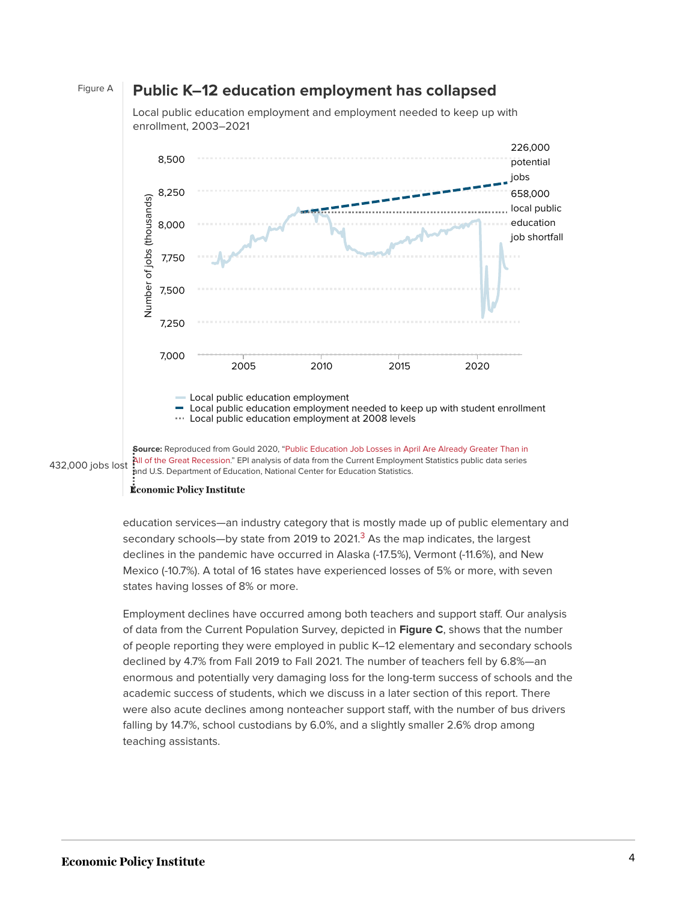#### Figure A **Public K–12 education employment has collapsed**

Local public education employment and employment needed to keep up with enrollment, 2003–2021



<span id="page-3-0"></span>[All of the Great Recession](https://www.epi.org/blog/public-education-job-losses-in-april-are-already-greater-than-in-all-of-the-great-recession/)." EPI analysis of data from the Current Employment Statistics public data series 432,000 jobs lost

#### **Économic Policy Institute**

education services—an industry category that is mostly made up of public elementary and secondary schools—by state from 2019 to 2021. $3$  As the map indicates, the largest declines in the pandemic have occurred in Alaska (-17.5%), Vermont (-11.6%), and New Mexico (-10.7%). A total of 16 states have experienced losses of 5% or more, with seven states having losses of 8% or more.

Employment declines have occurred among both teachers and support staff. Our analysis of data from the Current Population Survey, depicted in **Figure C**, shows that the number of people reporting they were employed in public K–12 elementary and secondary schools declined by 4.7% from Fall 2019 to Fall 2021. The number of teachers fell by 6.8%—an enormous and potentially very damaging loss for the long-term success of schools and the academic success of students, which we discuss in a later section of this report. There were also acute declines among nonteacher support staff, with the number of bus drivers falling by 14.7%, school custodians by 6.0%, and a slightly smaller 2.6% drop among teaching assistants.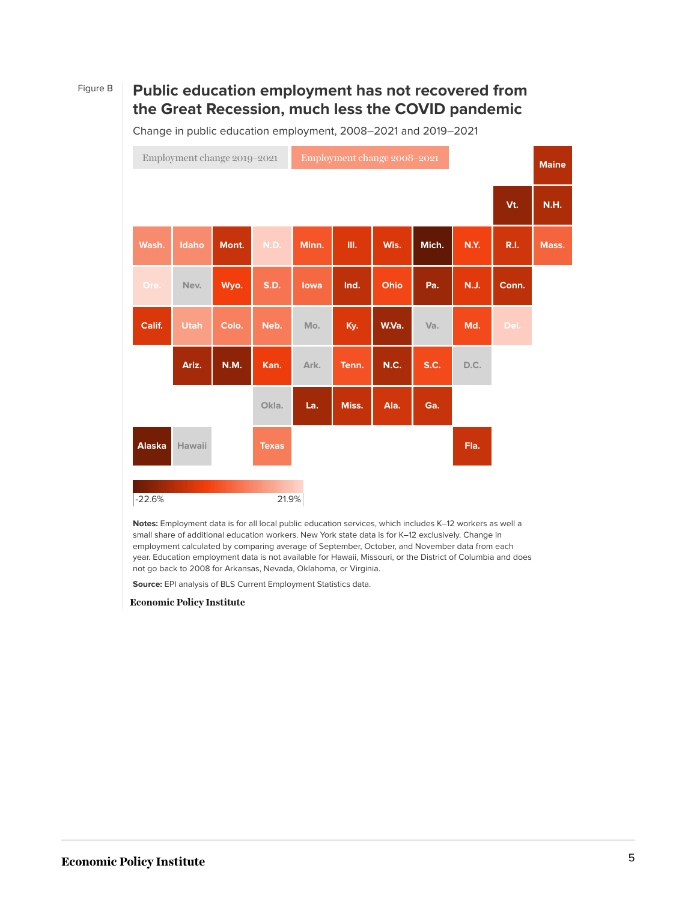### Figure B **Public education employment has not recovered from the Great Recession, much less the COVID pandemic**

Change in public education employment, 2008–2021 and 2019–2021

| Employment change 2019-2021 |               |              |             |              | Employment change 2008-2021 |       |       |             |             |             | <b>Maine</b> |
|-----------------------------|---------------|--------------|-------------|--------------|-----------------------------|-------|-------|-------------|-------------|-------------|--------------|
|                             |               |              |             |              |                             |       |       |             |             | Vt.         | <b>N.H.</b>  |
|                             | Wash.         | <b>Idaho</b> | Mont.       | N.D.         | Minn.                       | Ш.    | Wis.  | Mich.       | <b>N.Y.</b> | <b>R.I.</b> | Mass.        |
|                             | Ore.          | Nev.         | Wyo.        | S.D.         | lowa                        | Ind.  | Ohio  | Pa.         | <b>N.J.</b> | Conn.       |              |
|                             | Calif.        | <b>Utah</b>  | Colo.       | Neb.         | Mo.                         | Ky.   | W.Va. | Va.         | Md.         | Del.        |              |
|                             |               | Ariz.        | <b>N.M.</b> | Kan.         | Ark.                        | Tenn. | N.C.  | <b>S.C.</b> | D.C.        |             |              |
|                             |               |              |             | Okla.        | La.                         | Miss. | Ala.  | Ga.         |             |             |              |
|                             | <b>Alaska</b> | Hawaii       |             | <b>Texas</b> |                             |       |       |             | Fla.        |             |              |
|                             | $-22.6%$      |              |             | 21.9%        |                             |       |       |             |             |             |              |

**Notes:** Employment data is for all local public education services, which includes K–12 workers as well a small share of additional education workers. New York state data is for K–12 exclusively. Change in employment calculated by comparing average of September, October, and November data from each year. Education employment data is not available for Hawaii, Missouri, or the District of Columbia and does not go back to 2008 for Arkansas, Nevada, Oklahoma, or Virginia.

**Source:** EPI analysis of BLS Current Employment Statistics data.

**Economic Policy Institute**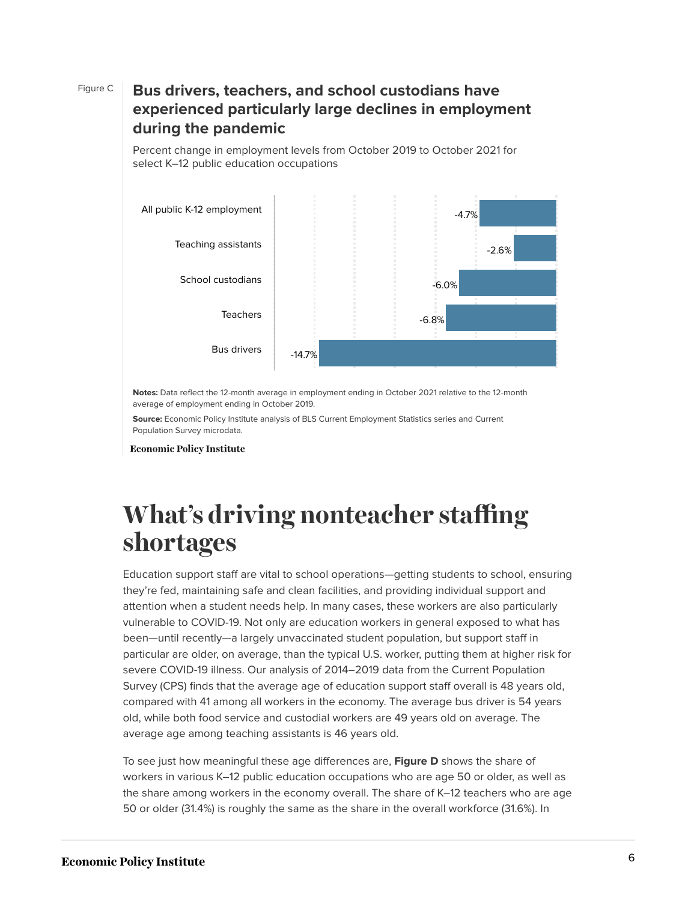### Figure C **Bus drivers, teachers, and school custodians have experienced particularly large declines in employment during the pandemic**

Percent change in employment levels from October 2019 to October 2021 for select K–12 public education occupations



**Notes:** Data reflect the 12-month average in employment ending in October 2021 relative to the 12-month average of employment ending in October 2019.

**Source:** Economic Policy Institute analysis of BLS Current Employment Statistics series and Current Population Survey microdata.

**Economic Policy Institute** 

# **What's driving nonteacher staffing shortages**

Education support staff are vital to school operations—getting students to school, ensuring they're fed, maintaining safe and clean facilities, and providing individual support and attention when a student needs help. In many cases, these workers are also particularly vulnerable to COVID-19. Not only are education workers in general exposed to what has been—until recently—a largely unvaccinated student population, but support staff in particular are older, on average, than the typical U.S. worker, putting them at higher risk for severe COVID-19 illness. Our analysis of 2014–2019 data from the Current Population Survey (CPS) finds that the average age of education support staff overall is 48 years old, compared with 41 among all workers in the economy. The average bus driver is 54 years old, while both food service and custodial workers are 49 years old on average. The average age among teaching assistants is 46 years old.

To see just how meaningful these age differences are, **Figure D** shows the share of workers in various K–12 public education occupations who are age 50 or older, as well as the share among workers in the economy overall. The share of K–12 teachers who are age 50 or older (31.4%) is roughly the same as the share in the overall workforce (31.6%). In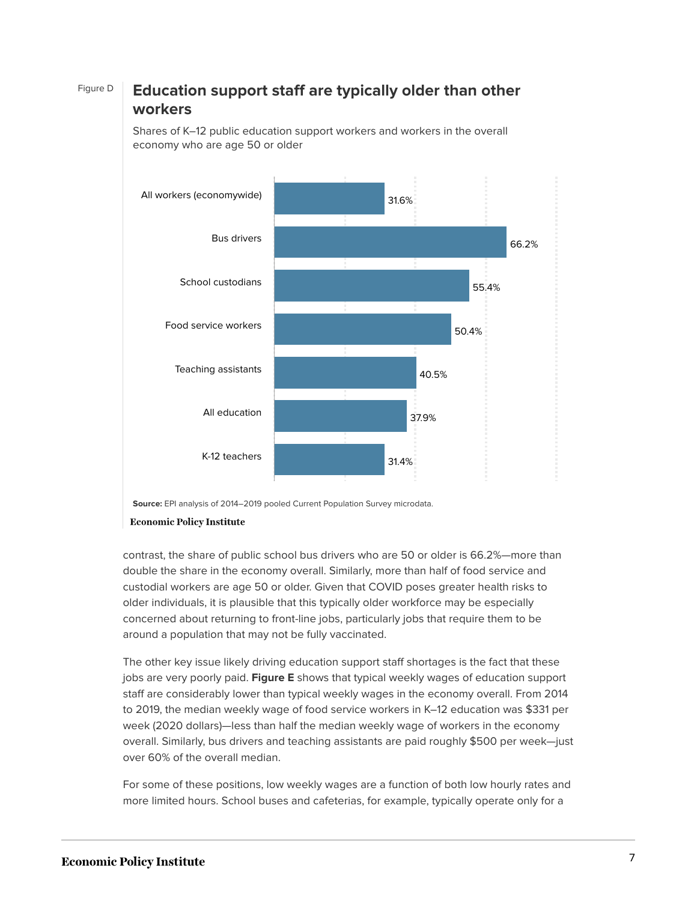#### Figure D **Education support staff are typically older than other workers**



Shares of K–12 public education support workers and workers in the overall economy who are age 50 or older

contrast, the share of public school bus drivers who are 50 or older is 66.2%—more than double the share in the economy overall. Similarly, more than half of food service and custodial workers are age 50 or older. Given that COVID poses greater health risks to older individuals, it is plausible that this typically older workforce may be especially concerned about returning to front-line jobs, particularly jobs that require them to be around a population that may not be fully vaccinated.

The other key issue likely driving education support staff shortages is the fact that these jobs are very poorly paid. **Figure E** shows that typical weekly wages of education support staff are considerably lower than typical weekly wages in the economy overall. From 2014 to 2019, the median weekly wage of food service workers in K–12 education was \$331 per week (2020 dollars)—less than half the median weekly wage of workers in the economy overall. Similarly, bus drivers and teaching assistants are paid roughly \$500 per week—just over 60% of the overall median.

For some of these positions, low weekly wages are a function of both low hourly rates and more limited hours. School buses and cafeterias, for example, typically operate only for a

**Source:** EPI analysis of 2014–2019 pooled Current Population Survey microdata.

**Economic Policy Institute**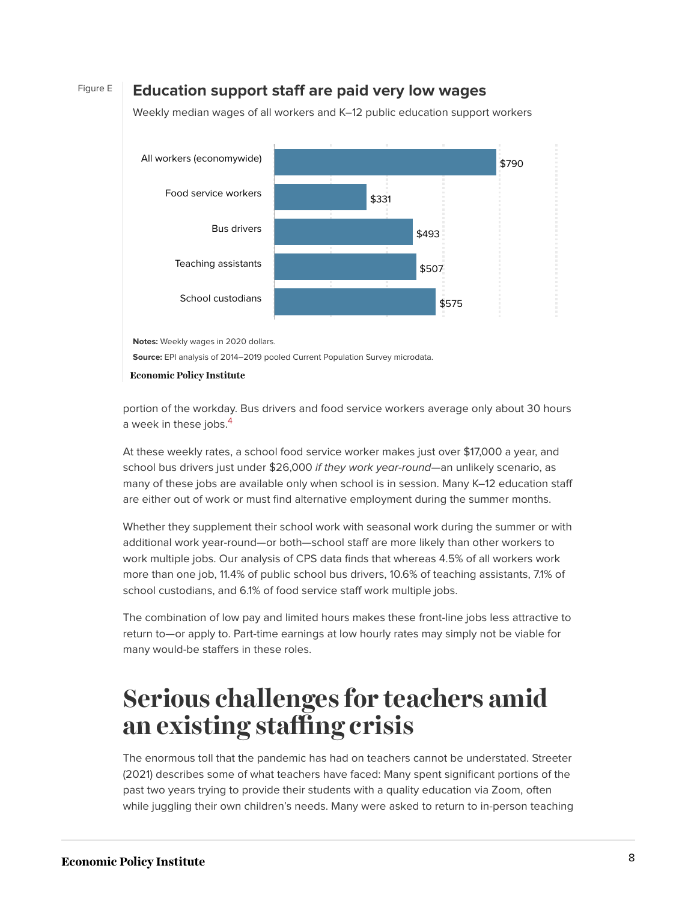#### Figure E **Education support staff are paid very low wages**





**Notes:** Weekly wages in 2020 dollars.

**Source:** EPI analysis of 2014–2019 pooled Current Population Survey microdata.

**Economic Policy Institute** 

<span id="page-7-0"></span>portion of the workday. Bus drivers and food service workers average only about 30 hours a week in these jobs.<sup>[4](#page-13-0)</sup>

At these weekly rates, a school food service worker makes just over \$17,000 a year, and school bus drivers just under \$26,000 if they work year-round—an unlikely scenario, as many of these jobs are available only when school is in session. Many K–12 education staff are either out of work or must find alternative employment during the summer months.

Whether they supplement their school work with seasonal work during the summer or with additional work year-round—or both—school staff are more likely than other workers to work multiple jobs. Our analysis of CPS data finds that whereas 4.5% of all workers work more than one job, 11.4% of public school bus drivers, 10.6% of teaching assistants, 7.1% of school custodians, and 6.1% of food service staff work multiple jobs.

The combination of low pay and limited hours makes these front-line jobs less attractive to return to—or apply to. Part-time earnings at low hourly rates may simply not be viable for many would-be staffers in these roles.

## **Serious challenges for teachers amid an existing staffing crisis**

The enormous toll that the pandemic has had on teachers cannot be understated. Streeter (2021) describes some of what teachers have faced: Many spent significant portions of the past two years trying to provide their students with a quality education via Zoom, often while juggling their own children's needs. Many were asked to return to in-person teaching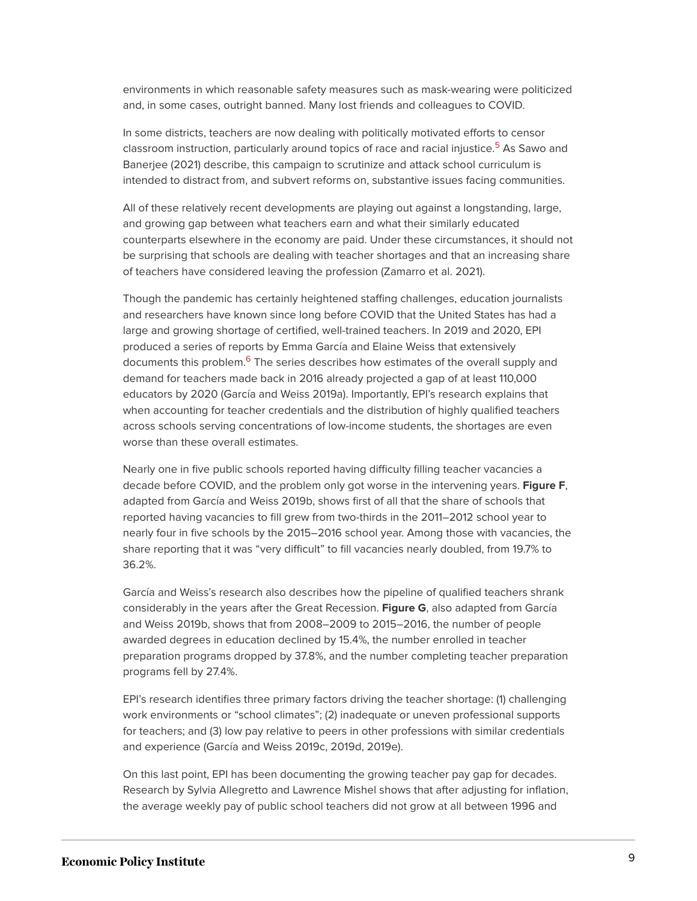environments in which reasonable safety measures such as mask-wearing were politicized and, in some cases, outright banned. Many lost friends and colleagues to COVID.

<span id="page-8-0"></span>In some districts, teachers are now dealing with politically motivated efforts to censor classroom instruction, particularly around topics of race and racial injustice.<sup>[5](#page-13-1)</sup> As Sawo and Banerjee (2021) describe, this campaign to scrutinize and attack school curriculum is intended to distract from, and subvert reforms on, substantive issues facing communities.

All of these relatively recent developments are playing out against a longstanding, large, and growing gap between what teachers earn and what their similarly educated counterparts elsewhere in the economy are paid. Under these circumstances, it should not be surprising that schools are dealing with teacher shortages and that an increasing share of teachers have considered leaving the profession (Zamarro et al. 2021).

<span id="page-8-1"></span>Though the pandemic has certainly heightened staffing challenges, education journalists and researchers have known since long before COVID that the United States has had a large and growing shortage of certified, well-trained teachers. In 2019 and 2020, EPI produced a series of reports by Emma García and Elaine Weiss that extensively documents this problem.<sup>[6](#page-13-2)</sup> The series describes how estimates of the overall supply and demand for teachers made back in 2016 already projected a gap of at least 110,000 educators by 2020 (García and Weiss 2019a). Importantly, EPI's research explains that when accounting for teacher credentials and the distribution of highly qualified teachers across schools serving concentrations of low-income students, the shortages are even worse than these overall estimates.

Nearly one in five public schools reported having difficulty filling teacher vacancies a decade before COVID, and the problem only got worse in the intervening years. **Figure F**, adapted from García and Weiss 2019b, shows first of all that the share of schools that reported having vacancies to fill grew from two-thirds in the 2011–2012 school year to nearly four in five schools by the 2015–2016 school year. Among those with vacancies, the share reporting that it was "very difficult" to fill vacancies nearly doubled, from 19.7% to 36.2%.

García and Weiss's research also describes how the pipeline of qualified teachers shrank considerably in the years after the Great Recession. **Figure G**, also adapted from García and Weiss 2019b, shows that from 2008–2009 to 2015–2016, the number of people awarded degrees in education declined by 15.4%, the number enrolled in teacher preparation programs dropped by 37.8%, and the number completing teacher preparation programs fell by 27.4%.

EPI's research identifies three primary factors driving the teacher shortage: (1) challenging work environments or "school climates"; (2) inadequate or uneven professional supports for teachers; and (3) low pay relative to peers in other professions with similar credentials and experience (García and Weiss 2019c, 2019d, 2019e).

On this last point, EPI has been documenting the growing teacher pay gap for decades. Research by Sylvia Allegretto and Lawrence Mishel shows that after adjusting for inflation, the average weekly pay of public school teachers did not grow at all between 1996 and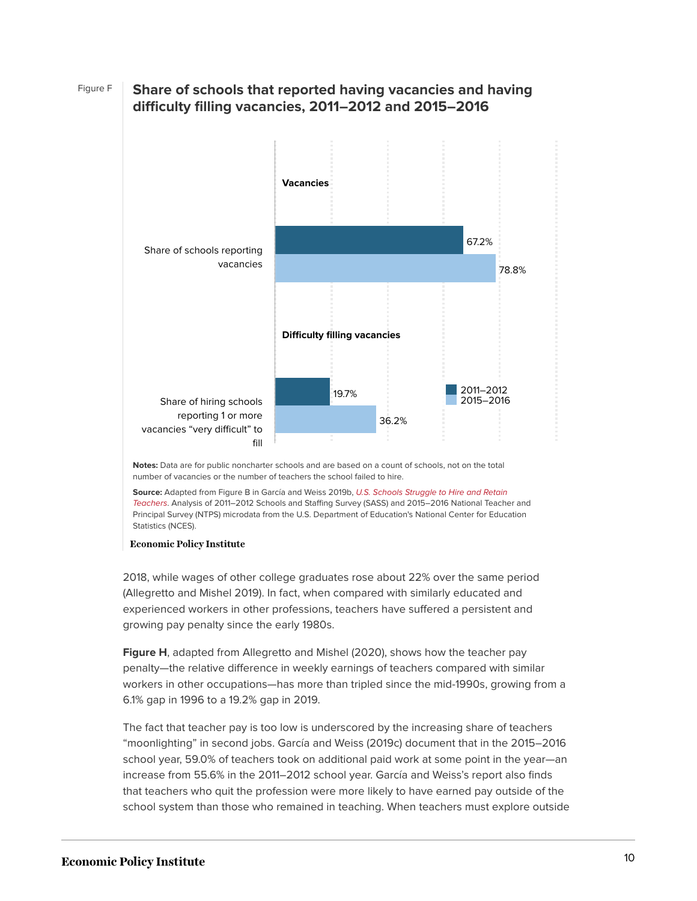### 78.8% 36.2% 67.2% 19.7% 2011–2012 2015–2016 Share of schools reporting vacancies Share of hiring schools reporting 1 or more vacancies "very difficult" to fill **Vacancies Difficulty filling vacancies**

#### Figure F **Share of schools that reported having vacancies and having difficulty filling vacancies, 2011–2012 and 2015–2016**

**Notes:** Data are for public noncharter schools and are based on a count of schools, not on the total number of vacancies or the number of teachers the school failed to hire.

**Source:** Adapted from Figure B in García and Weiss 2019b, [U.S. Schools Struggle to Hire and Retain](https://www.epi.org/publication/u-s-schools-struggle-to-hire-and-retain-teachers-the-second-report-in-the-perfect-storm-in-the-teacher-labor-market-series/) [Teachers](https://www.epi.org/publication/u-s-schools-struggle-to-hire-and-retain-teachers-the-second-report-in-the-perfect-storm-in-the-teacher-labor-market-series/). Analysis of 2011–2012 Schools and Staffing Survey (SASS) and 2015–2016 National Teacher and Principal Survey (NTPS) microdata from the U.S. Department of Education's National Center for Education Statistics (NCES).

#### **Economic Policy Institute**

2018, while wages of other college graduates rose about 22% over the same period (Allegretto and Mishel 2019). In fact, when compared with similarly educated and experienced workers in other professions, teachers have suffered a persistent and growing pay penalty since the early 1980s.

**Figure H**, adapted from Allegretto and Mishel (2020), shows how the teacher pay penalty—the relative difference in weekly earnings of teachers compared with similar workers in other occupations—has more than tripled since the mid-1990s, growing from a 6.1% gap in 1996 to a 19.2% gap in 2019.

The fact that teacher pay is too low is underscored by the increasing share of teachers "moonlighting" in second jobs. García and Weiss (2019c) document that in the 2015–2016 school year, 59.0% of teachers took on additional paid work at some point in the year—an increase from 55.6% in the 2011–2012 school year. García and Weiss's report also finds that teachers who quit the profession were more likely to have earned pay outside of the school system than those who remained in teaching. When teachers must explore outside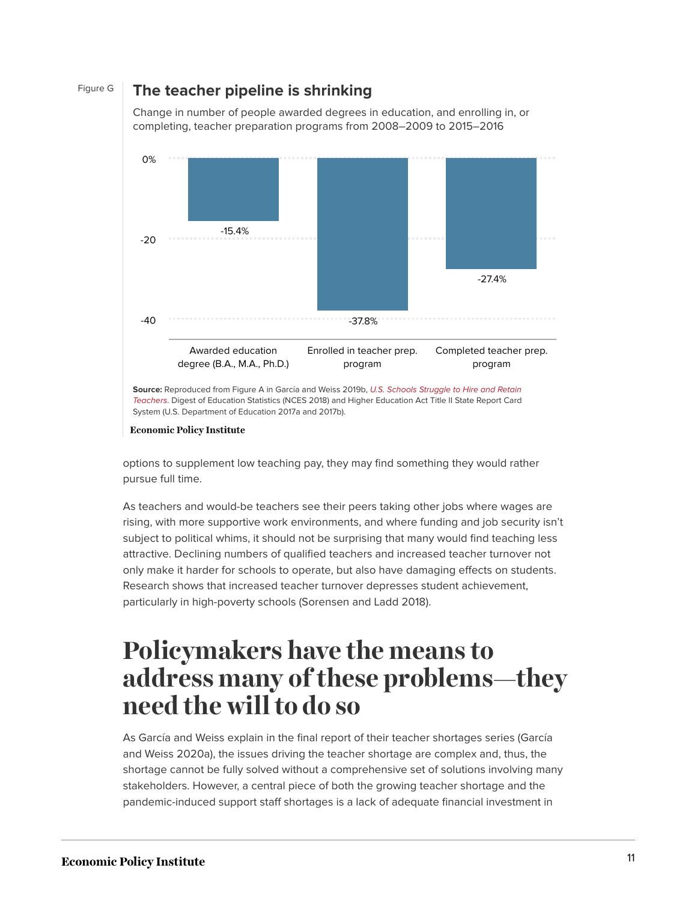#### Figure G **The teacher pipeline is shrinking**

Change in number of people awarded degrees in education, and enrolling in, or completing, teacher preparation programs from 2008–2009 to 2015–2016



**Source:** Reproduced from Figure A in García and Weiss 2019b, [U.S. Schools Struggle to Hire and Retain](https://www.epi.org/publication/u-s-schools-struggle-to-hire-and-retain-teachers-the-second-report-in-the-perfect-storm-in-the-teacher-labor-market-series/) [Teachers](https://www.epi.org/publication/u-s-schools-struggle-to-hire-and-retain-teachers-the-second-report-in-the-perfect-storm-in-the-teacher-labor-market-series/). Digest of Education Statistics (NCES 2018) and Higher Education Act Title II State Report Card System (U.S. Department of Education 2017a and 2017b).

options to supplement low teaching pay, they may find something they would rather pursue full time.

As teachers and would-be teachers see their peers taking other jobs where wages are rising, with more supportive work environments, and where funding and job security isn't subject to political whims, it should not be surprising that many would find teaching less attractive. Declining numbers of qualified teachers and increased teacher turnover not only make it harder for schools to operate, but also have damaging effects on students. Research shows that increased teacher turnover depresses student achievement, particularly in high-poverty schools (Sorensen and Ladd 2018).

### **Policymakers have the means to address many of these problems—they need the will to do so**

As García and Weiss explain in the final report of their teacher shortages series (García and Weiss 2020a), the issues driving the teacher shortage are complex and, thus, the shortage cannot be fully solved without a comprehensive set of solutions involving many stakeholders. However, a central piece of both the growing teacher shortage and the pandemic-induced support staff shortages is a lack of adequate financial investment in

**Economic Policy Institute**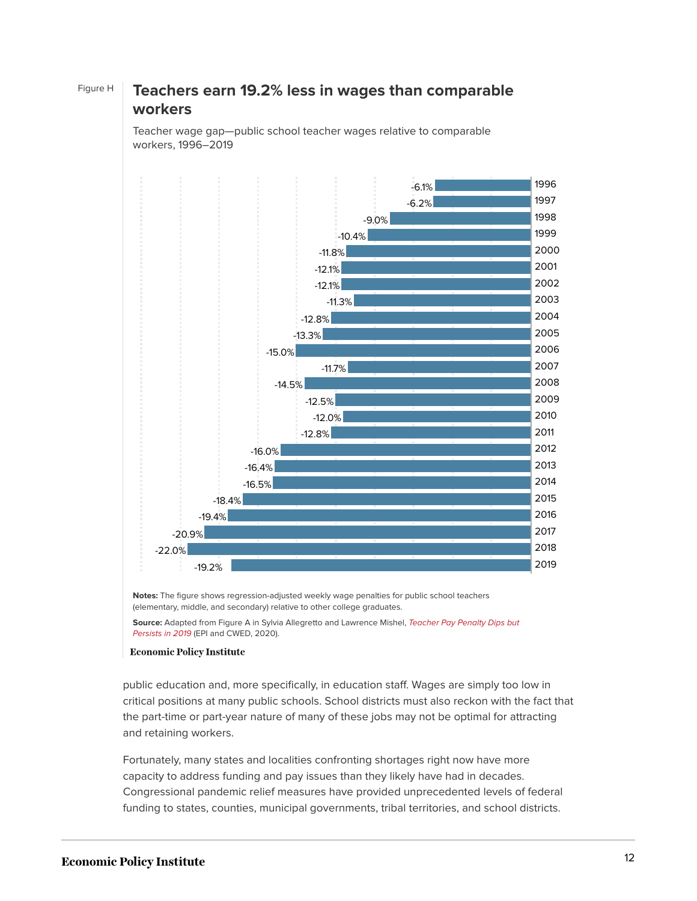

Figure H **Teachers earn 19.2% less in wages than comparable workers**

> Teacher wage gap—public school teacher wages relative to comparable workers, 1996–2019

> **Notes:** The figure shows regression-adjusted weekly wage penalties for public school teachers (elementary, middle, and secondary) relative to other college graduates.

**Source:** Adapted from Figure A in Sylvia Allegretto and Lawrence Mishel, [Teacher Pay Penalty Dips but](https://www.epi.org/publication/teacher-pay-penalty-dips-but-persists-in-2019-public-school-teachers-earn-about-20-less-in-weekly-wages-than-nonteacher-college-graduates/) [Persists in 2019](https://www.epi.org/publication/teacher-pay-penalty-dips-but-persists-in-2019-public-school-teachers-earn-about-20-less-in-weekly-wages-than-nonteacher-college-graduates/) (EPI and CWED, 2020).

#### **Economic Policy Institute**

public education and, more specifically, in education staff. Wages are simply too low in critical positions at many public schools. School districts must also reckon with the fact that the part-time or part-year nature of many of these jobs may not be optimal for attracting and retaining workers.

Fortunately, many states and localities confronting shortages right now have more capacity to address funding and pay issues than they likely have had in decades. Congressional pandemic relief measures have provided unprecedented levels of federal funding to states, counties, municipal governments, tribal territories, and school districts.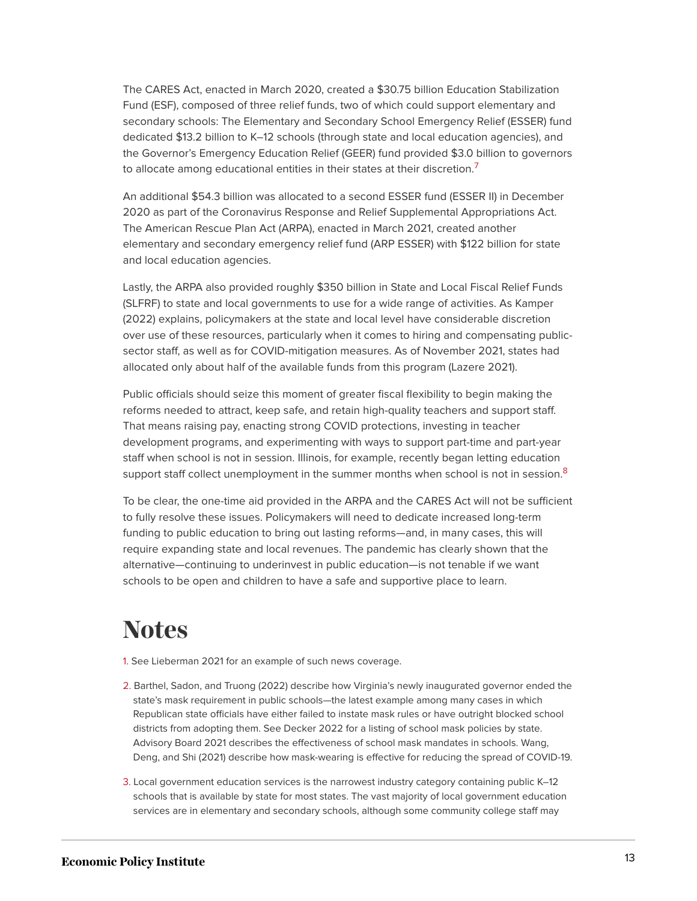The CARES Act, enacted in March 2020, created a \$30.75 billion Education Stabilization Fund (ESF), composed of three relief funds, two of which could support elementary and secondary schools: The Elementary and Secondary School Emergency Relief (ESSER) fund dedicated \$13.2 billion to K–12 schools (through state and local education agencies), and the Governor's Emergency Education Relief (GEER) fund provided \$3.0 billion to governors to allocate among educational entities in their states at their discretion.<sup>[7](#page-13-3)</sup>

<span id="page-12-3"></span>An additional \$54.3 billion was allocated to a second ESSER fund (ESSER II) in December 2020 as part of the Coronavirus Response and Relief Supplemental Appropriations Act. The American Rescue Plan Act (ARPA), enacted in March 2021, created another elementary and secondary emergency relief fund (ARP ESSER) with \$122 billion for state and local education agencies.

Lastly, the ARPA also provided roughly \$350 billion in State and Local Fiscal Relief Funds (SLFRF) to state and local governments to use for a wide range of activities. As Kamper (2022) explains, policymakers at the state and local level have considerable discretion over use of these resources, particularly when it comes to hiring and compensating publicsector staff, as well as for COVID-mitigation measures. As of November 2021, states had allocated only about half of the available funds from this program (Lazere 2021).

Public officials should seize this moment of greater fiscal flexibility to begin making the reforms needed to attract, keep safe, and retain high-quality teachers and support staff. That means raising pay, enacting strong COVID protections, investing in teacher development programs, and experimenting with ways to support part-time and part-year staff when school is not in session. Illinois, for example, recently began letting education support staff collect unemployment in the summer months when school is not in session. $8$ 

<span id="page-12-4"></span>To be clear, the one-time aid provided in the ARPA and the CARES Act will not be sufficient to fully resolve these issues. Policymakers will need to dedicate increased long-term funding to public education to bring out lasting reforms—and, in many cases, this will require expanding state and local revenues. The pandemic has clearly shown that the alternative—continuing to underinvest in public education—is not tenable if we want schools to be open and children to have a safe and supportive place to learn.

### **Notes**

- <span id="page-12-0"></span>[1.](#page-1-0) See Lieberman 2021 for an example of such news coverage.
- <span id="page-12-1"></span>[2.](#page-1-1) Barthel, Sadon, and Truong (2022) describe how Virginia's newly inaugurated governor ended the state's mask requirement in public schools—the latest example among many cases in which Republican state officials have either failed to instate mask rules or have outright blocked school districts from adopting them. See Decker 2022 for a listing of school mask policies by state. Advisory Board 2021 describes the effectiveness of school mask mandates in schools. Wang, Deng, and Shi (2021) describe how mask-wearing is effective for reducing the spread of COVID-19.
- <span id="page-12-2"></span>[3.](#page-3-0) Local government education services is the narrowest industry category containing public K–12 schools that is available by state for most states. The vast majority of local government education services are in elementary and secondary schools, although some community college staff may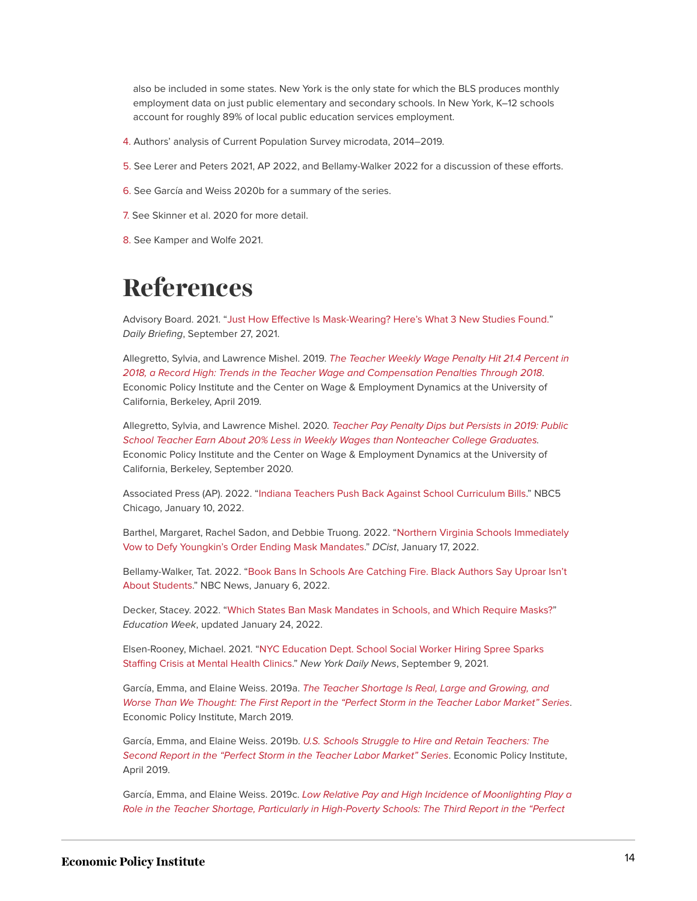also be included in some states. New York is the only state for which the BLS produces monthly employment data on just public elementary and secondary schools. In New York, K–12 schools account for roughly 89% of local public education services employment.

- <span id="page-13-0"></span>[4.](#page-7-0) Authors' analysis of Current Population Survey microdata, 2014–2019.
- <span id="page-13-1"></span>[5.](#page-8-0) See Lerer and Peters 2021, AP 2022, and Bellamy-Walker 2022 for a discussion of these efforts.
- <span id="page-13-2"></span>[6.](#page-8-1) See García and Weiss 2020b for a summary of the series.
- <span id="page-13-3"></span>[7.](#page-12-3) See Skinner et al. 2020 for more detail.
- <span id="page-13-4"></span>[8.](#page-12-4) See Kamper and Wolfe 2021.

### **References**

Advisory Board. 2021. "[Just How Effective Is Mask-Wearing? Here's What 3 New Studies Found."](https://www.advisory.com/daily-briefing/2021/09/27/face-masks) Daily Briefing, September 27, 2021.

Allegretto, Sylvia, and Lawrence Mishel. 2019. [The Teacher Weekly Wage Penalty Hit 21.4 Percent in](https://www.epi.org/publication/the-teacher-weekly-wage-penalty-hit-21-4-percent-in-2018-a-record-high-trends-in-the-teacher-wage-and-compensation-penalties-through-2018/) [2018, a Record High: Trends in the Teacher Wage and Compensation Penalties Through 2018](https://www.epi.org/publication/the-teacher-weekly-wage-penalty-hit-21-4-percent-in-2018-a-record-high-trends-in-the-teacher-wage-and-compensation-penalties-through-2018/). Economic Policy Institute and the Center on Wage & Employment Dynamics at the University of California, Berkeley, April 2019.

Allegretto, Sylvia, and Lawrence Mishel. 2020. [Teacher Pay Penalty Dips but Persists in 2019: Public](https://www.epi.org/publication/teacher-pay-penalty-dips-but-persists-in-2019-public-school-teachers-earn-about-20-less-in-weekly-wages-than-nonteacher-college-graduates/) [School Teacher Earn About 20% Less in Weekly Wages than Nonteacher College Graduates.](https://www.epi.org/publication/teacher-pay-penalty-dips-but-persists-in-2019-public-school-teachers-earn-about-20-less-in-weekly-wages-than-nonteacher-college-graduates/) Economic Policy Institute and the Center on Wage & Employment Dynamics at the University of California, Berkeley, September 2020.

Associated Press (AP). 2022. ["Indiana Teachers Push Back Against School Curriculum Bills](https://www.nbcchicago.com/news/local/indiana-teachers-push-back-against-school-curriculum-bills/2725449/)." NBC5 Chicago, January 10, 2022.

Barthel, Margaret, Rachel Sadon, and Debbie Truong. 2022. "[Northern Virginia Schools Immediately](https://dcist.com/story/22/01/17/northern-virginia-schools-defy-glenn-youngkin-order-mask-mandates/) [Vow to Defy Youngkin's Order Ending Mask Mandates](https://dcist.com/story/22/01/17/northern-virginia-schools-defy-glenn-youngkin-order-mask-mandates/)." DCist, January 17, 2022.

Bellamy-Walker, Tat. 2022. "[Book Bans In Schools Are Catching Fire. Black Authors Say Uproar Isn't](https://www.nbcnews.com/news/nbcblk/book-bans-schools-are-catching-fire-black-authors-say-uproar-isnt-stud-rcna10228) [About Students.](https://www.nbcnews.com/news/nbcblk/book-bans-schools-are-catching-fire-black-authors-say-uproar-isnt-stud-rcna10228)" NBC News, January 6, 2022.

Decker, Stacey. 2022. "[Which States Ban Mask Mandates in Schools, and Which Require Masks?"](https://www.edweek.org/policy-politics/which-states-ban-mask-mandates-in-schools-and-which-require-masks/2021/08) Education Week, updated January 24, 2022.

Elsen-Rooney, Michael. 2021. "[NYC Education Dept. School Social Worker Hiring Spree Sparks](https://www.nydailynews.com/new-york/education/ny-school-social-worker-shortage-hiring-spree-20210909-elqui53gc5gijpz2amicnrtkxe-story.html) [Staffing Crisis at Mental Health Clinics.](https://www.nydailynews.com/new-york/education/ny-school-social-worker-shortage-hiring-spree-20210909-elqui53gc5gijpz2amicnrtkxe-story.html)" New York Daily News, September 9, 2021.

García, Emma, and Elaine Weiss. 2019a. [The Teacher Shortage Is Real, Large and Growing, and](https://www.epi.org/publication/the-teacher-shortage-is-real-large-and-growing-and-worse-than-we-thought-the-first-report-in-the-perfect-storm-in-the-teacher-labor-market-series/) [Worse Than We Thought: The First Report in the "Perfect Storm in the Teacher Labor Market" Series](https://www.epi.org/publication/the-teacher-shortage-is-real-large-and-growing-and-worse-than-we-thought-the-first-report-in-the-perfect-storm-in-the-teacher-labor-market-series/). Economic Policy Institute, March 2019.

García, Emma, and Elaine Weiss. 2019b. [U.S. Schools Struggle to Hire and Retain Teachers:](https://www.epi.org/publication/u-s-schools-struggle-to-hire-and-retain-teachers-the-second-report-in-the-perfect-storm-in-the-teacher-labor-market-series/) [The](https://www.epi.org/publication/u-s-schools-struggle-to-hire-and-retain-teachers-the-second-report-in-the-perfect-storm-in-the-teacher-labor-market-series/) [Second Report in the "Perfect Storm in the Teacher Labor Market" Series](https://www.epi.org/publication/u-s-schools-struggle-to-hire-and-retain-teachers-the-second-report-in-the-perfect-storm-in-the-teacher-labor-market-series/). Economic Policy Institute, April 2019.

García, Emma, and Elaine Weiss. 2019c. [Low Relative Pay and High Incidence of Moonlighting Play a](https://www.epi.org/161908/pre/74bee2a4f1532a068d42514562301cb64077a1c1a2bb9a280561b35106588d98/) [Role in the Teacher Shortage, Particularly in High-Poverty Schools: The Third Report in the "Perfect](https://www.epi.org/161908/pre/74bee2a4f1532a068d42514562301cb64077a1c1a2bb9a280561b35106588d98/)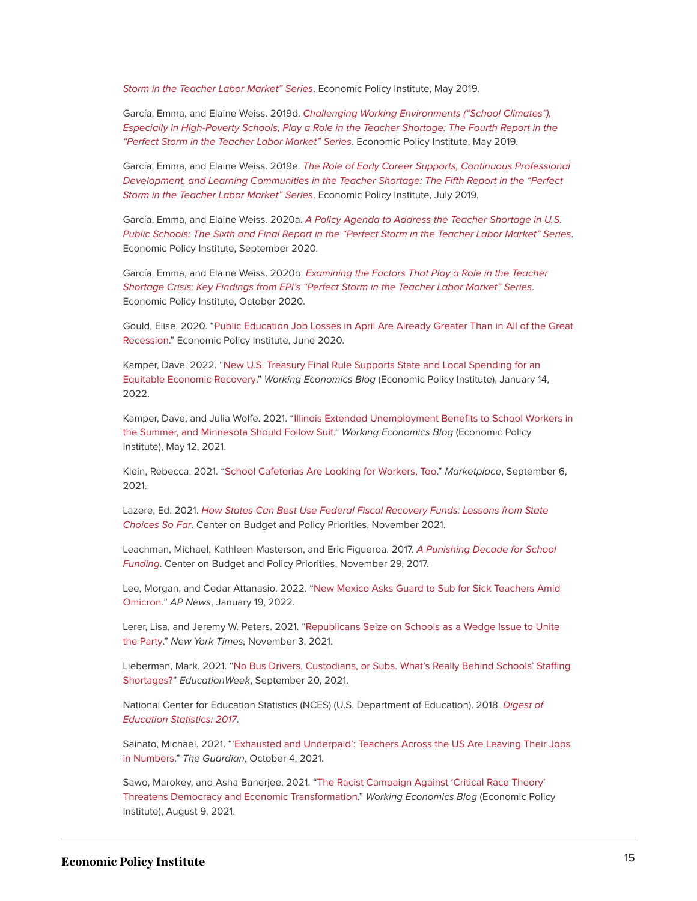[Storm in the Teacher Labor Market" Series](https://www.epi.org/161908/pre/74bee2a4f1532a068d42514562301cb64077a1c1a2bb9a280561b35106588d98/). Economic Policy Institute, May 2019.

García, Emma, and Elaine Weiss. 2019d. [Challenging Working Environments \("School Climates"\),](https://www.epi.org/publication/school-climate-challenges-affect-teachers-morale-more-so-in-high-poverty-schools-the-fourth-report-in-the-perfect-storm-in-the-teacher-labor-market-series/) [Especially in High-Poverty Schools, Play a Role in the Teacher Shortage: The Fourth Report in the](https://www.epi.org/publication/school-climate-challenges-affect-teachers-morale-more-so-in-high-poverty-schools-the-fourth-report-in-the-perfect-storm-in-the-teacher-labor-market-series/) ["Perfect Storm in the Teacher Labor Market" Series](https://www.epi.org/publication/school-climate-challenges-affect-teachers-morale-more-so-in-high-poverty-schools-the-fourth-report-in-the-perfect-storm-in-the-teacher-labor-market-series/). Economic Policy Institute, May 2019.

García, Emma, and Elaine Weiss. 2019e. [The Role of Early Career Supports, Continuous Professional](https://www.epi.org/publication/teacher-shortage-professional-development-and-learning-communities/) [Development, and Learning Communities in the Teacher Shortage: The Fifth Report in the "Perfect](https://www.epi.org/publication/teacher-shortage-professional-development-and-learning-communities/) [Storm in the Teacher Labor Market" Series](https://www.epi.org/publication/teacher-shortage-professional-development-and-learning-communities/). Economic Policy Institute, July 2019.

García, Emma, and Elaine Weiss. 2020a. [A Policy Agenda to Address the Teacher Shortage in U.S.](https://www.epi.org/publication/a-policy-agenda-to-address-the-teacher-shortage-in-u-s-public-schools) [Public Schools: The Sixth and Final Report in the "Perfect Storm in the Teacher Labor Market" Series](https://www.epi.org/publication/a-policy-agenda-to-address-the-teacher-shortage-in-u-s-public-schools). Economic Policy Institute, September 2020.

García, Emma, and Elaine Weiss. 2020b. [Examining the Factors That Play a Role in the Teacher](https://www.epi.org/publication/key-findings-from-the-perfect-storm-in-the-teacher-labor-market-series) [Shortage Crisis: Key Findings from EPI's "Perfect Storm in the Teacher Labor Market" Series](https://www.epi.org/publication/key-findings-from-the-perfect-storm-in-the-teacher-labor-market-series). Economic Policy Institute, October 2020.

Gould, Elise. 2020. ["Public Education Job Losses in April Are Already Greater Than in All of the Great](https://www.epi.org/blog/public-education-job-losses-in-april-are-already-greater-than-in-all-of-the-great-recession/) [Recession](https://www.epi.org/blog/public-education-job-losses-in-april-are-already-greater-than-in-all-of-the-great-recession/)." Economic Policy Institute, June 2020.

Kamper, Dave. 2022. ["New U.S. Treasury Final Rule Supports State and Local Spending for an](https://www.epi.org/blog/new-u-s-treasury-final-rule-supports-state-and-local-spending-for-an-equitable-economic-recovery/) [Equitable Economic Recovery.](https://www.epi.org/blog/new-u-s-treasury-final-rule-supports-state-and-local-spending-for-an-equitable-economic-recovery/)" Working Economics Blog (Economic Policy Institute), January 14, 2022.

Kamper, Dave, and Julia Wolfe. 2021. ["Illinois Extended Unemployment Benefits to School Workers in](https://www.epi.org/blog/illinois-extended-unemployment-benefits-to-school-workers-in-the-summer-and-minnesota-should-follow/) [the Summer, and Minnesota Should Follow Suit](https://www.epi.org/blog/illinois-extended-unemployment-benefits-to-school-workers-in-the-summer-and-minnesota-should-follow/)." Working Economics Blog (Economic Policy Institute), May 12, 2021.

Klein, Rebecca. 2021. "[School Cafeterias Are Looking for Workers, Too.](https://www.marketplace.org/2021/09/06/school-cafeterias-are-looking-for-workers-too/)" Marketplace, September 6, 2021.

Lazere, Ed. 2021. [How States Can Best Use Federal Fiscal Recovery Funds: Lessons from State](https://www.cbpp.org/research/state-budget-and-tax/how-states-can-best-use-federal-fiscal-recovery-funds-lessons-from) [Choices So Far](https://www.cbpp.org/research/state-budget-and-tax/how-states-can-best-use-federal-fiscal-recovery-funds-lessons-from). Center on Budget and Policy Priorities, November 2021.

Leachman, Michael, Kathleen Masterson, and Eric Figueroa. 2017. [A Punishing Decade for School](https://www.cbpp.org/research/state-budget-and-tax/a-punishing-decade-for-school-funding) [Funding](https://www.cbpp.org/research/state-budget-and-tax/a-punishing-decade-for-school-funding). Center on Budget and Policy Priorities, November 29, 2017.

Lee, Morgan, and Cedar Attanasio. 2022. "[New Mexico Asks Guard to Sub for Sick Teachers Amid](https://apnews.com/article/coronavirus-pandemic-health-new-mexico-michelle-lujan-grisham-teaching-eaa5e804bc4f3c98efc0c8b14f2fb94e) [Omicron."](https://apnews.com/article/coronavirus-pandemic-health-new-mexico-michelle-lujan-grisham-teaching-eaa5e804bc4f3c98efc0c8b14f2fb94e) AP News, January 19, 2022.

Lerer, Lisa, and Jeremy W. Peters. 2021. "[Republicans Seize on Schools as a Wedge Issue to Unite](https://www.nytimes.com/2021/11/03/us/politics/school-republican-campaign-issue.html) [the Party.](https://www.nytimes.com/2021/11/03/us/politics/school-republican-campaign-issue.html)" New York Times, November 3, 2021.

Lieberman, Mark. 2021. ["No Bus Drivers, Custodians, or Subs. What's Really Behind Schools' Staffing](https://www.edweek.org/leadership/no-bus-drivers-custodians-or-subs-whats-really-behind-schools-staffing-shortages/2021/09) [Shortages?"](https://www.edweek.org/leadership/no-bus-drivers-custodians-or-subs-whats-really-behind-schools-staffing-shortages/2021/09) EducationWeek, September 20, 2021.

National Center for Education Statistics (NCES) (U.S. Department of Education). 2018. [Digest of](https://nces.ed.gov/programs/digest/d17/) [Education Statistics: 2017](https://nces.ed.gov/programs/digest/d17/).

Sainato, Michael. 2021. "['Exhausted and Underpaid': Teachers Across the US Are Leaving Their Jobs](https://www.theguardian.com/world/2021/oct/04/teachers-quitting-jobs-covid-record-numbers) [in Numbers](https://www.theguardian.com/world/2021/oct/04/teachers-quitting-jobs-covid-record-numbers)." The Guardian, October 4, 2021.

Sawo, Marokey, and Asha Banerjee. 2021. "[The Racist Campaign Against 'Critical Race Theory'](https://www.epi.org/blog/the-racist-campaign-against-critical-race-theory-threatens-democracy-and-economic-transformation/) [Threatens Democracy and Economic Transformation](https://www.epi.org/blog/the-racist-campaign-against-critical-race-theory-threatens-democracy-and-economic-transformation/)." Working Economics Blog (Economic Policy Institute), August 9, 2021.